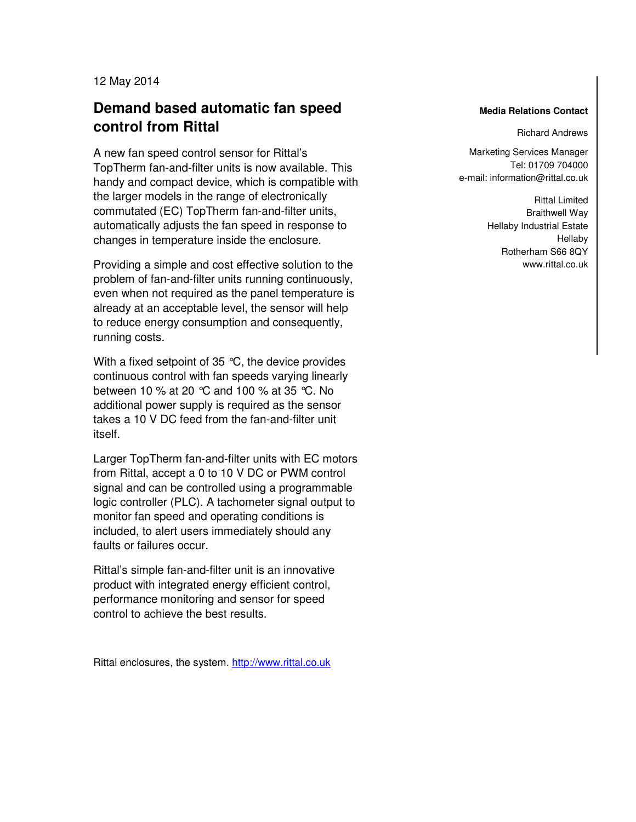12 May 2014

## **Demand based automatic fan speed control from Rittal**

A new fan speed control sensor for Rittal's TopTherm fan-and-filter units is now available. This handy and compact device, which is compatible with the larger models in the range of electronically commutated (EC) TopTherm fan-and-filter units, automatically adjusts the fan speed in response to changes in temperature inside the enclosure.

Providing a simple and cost effective solution to the problem of fan-and-filter units running continuously, even when not required as the panel temperature is already at an acceptable level, the sensor will help to reduce energy consumption and consequently, running costs.

With a fixed setpoint of 35  $\degree$ C, the device provides continuous control with fan speeds varying linearly between 10 % at 20 °C and 100 % at 35 °C. No additional power supply is required as the sensor takes a 10 V DC feed from the fan-and-filter unit itself.

Larger TopTherm fan-and-filter units with EC motors from Rittal, accept a 0 to 10 V DC or PWM control signal and can be controlled using a programmable logic controller (PLC). A tachometer signal output to monitor fan speed and operating conditions is included, to alert users immediately should any faults or failures occur.

Rittal's simple fan-and-filter unit is an innovative product with integrated energy efficient control, performance monitoring and sensor for speed control to achieve the best results.

Rittal enclosures, the system. http://www.rittal.co.uk

## **Media Relations Contact**

Richard Andrews

Marketing Services Manager Fax: 02772/505-2537 Tel: 01709 704000 e-mail: information@rittal.co.uk

> **Rittal Limited** Autor Emmed Hellaby Industrial Estate www.meridia.org<br>Hellaby Rotherham S66 8QY www.rittal.co.uk